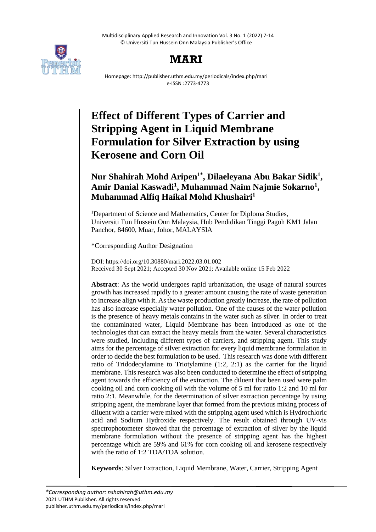Multidisciplinary Applied Research and Innovation Vol. 3 No. 1 (2022) 7-14 © Universiti Tun Hussein Onn Malaysia Publisher's Office



# **MARI**

Homepage: http://publisher.uthm.edu.my/periodicals/index.php/mari e-ISSN :2773-4773

# **Effect of Different Types of Carrier and Stripping Agent in Liquid Membrane Formulation for Silver Extraction by using Kerosene and Corn Oil**

# **Nur Shahirah Mohd Aripen1\* , Dilaeleyana Abu Bakar Sidik<sup>1</sup> ,**  Amir Danial Kaswadi<sup>1</sup>, Muhammad Naim Najmie Sokarno<sup>1</sup>, **Muhammad Alfiq Haikal Mohd Khushairi<sup>1</sup>**

<sup>1</sup>Department of Science and Mathematics, Center for Diploma Studies, Universiti Tun Hussein Onn Malaysia, Hub Pendidikan Tinggi Pagoh KM1 Jalan Panchor, 84600, Muar, Johor, MALAYSIA

\*Corresponding Author Designation

DOI: https://doi.org/10.30880/mari.2022.03.01.002 Received 30 Sept 2021; Accepted 30 Nov 2021; Available online 15 Feb 2022

**Abstract**: As the world undergoes rapid urbanization, the usage of natural sources growth has increased rapidly to a greater amount causing the rate of waste generation to increase align with it. As the waste production greatly increase, the rate of pollution has also increase especially water pollution. One of the causes of the water pollution is the presence of heavy metals contains in the water such as silver. In order to treat the contaminated water, Liquid Membrane has been introduced as one of the technologies that can extract the heavy metals from the water. Several characteristics were studied, including different types of carriers, and stripping agent. This study aims for the percentage of silver extraction for every liquid membrane formulation in order to decide the best formulation to be used. This research was done with different ratio of Tridodecylamine to Triotylamine (1:2, 2:1) as the carrier for the liquid membrane. This research was also been conducted to determine the effect of stripping agent towards the efficiency of the extraction. The diluent that been used were palm cooking oil and corn cooking oil with the volume of 5 ml for ratio 1:2 and 10 ml for ratio 2:1. Meanwhile, for the determination of silver extraction percentage by using stripping agent, the membrane layer that formed from the previous mixing process of diluent with a carrier were mixed with the stripping agent used which is Hydrochloric acid and Sodium Hydroxide respectively. The result obtained through UV-vis spectrophotometer showed that the percentage of extraction of silver by the liquid membrane formulation without the presence of stripping agent has the highest percentage which are 59% and 61% for corn cooking oil and kerosene respectively with the ratio of 1:2 TDA/TOA solution.

**Keywords**: Silver Extraction, Liquid Membrane, Water, Carrier, Stripping Agent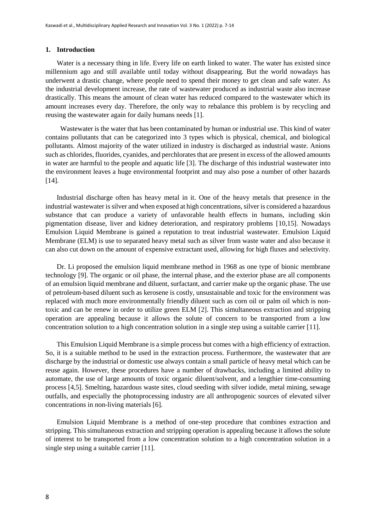#### **1. Introduction**

Water is a necessary thing in life. Every life on earth linked to water. The water has existed since millennium ago and still available until today without disappearing. But the world nowadays has underwent a drastic change, where people need to spend their money to get clean and safe water. As the industrial development increase, the rate of wastewater produced as industrial waste also increase drastically. This means the amount of clean water has reduced compared to the wastewater which its amount increases every day. Therefore, the only way to rebalance this problem is by recycling and reusing the wastewater again for daily humans needs [1].

 Wastewater is the water that has been contaminated by human or industrial use. This kind of water contains pollutants that can be categorized into 3 types which is physical, chemical, and biological pollutants. Almost majority of the water utilized in industry is discharged as industrial waste. Anions such as chlorides, fluorides, cyanides, and perchlorates that are present in excess of the allowed amounts in water are harmful to the people and aquatic life [3]. The discharge of this industrial wastewater into the environment leaves a huge environmental footprint and may also pose a number of other hazards [14].

Industrial discharge often has heavy metal in it. One of the heavy metals that presence in the industrial wastewater is silver and when exposed at high concentrations, silver is considered a hazardous substance that can produce a variety of unfavorable health effects in humans, including skin pigmentation disease, liver and kidney deterioration, and respiratory problems [10,15]. Nowadays Emulsion Liquid Membrane is gained a reputation to treat industrial wastewater. Emulsion Liquid Membrane (ELM) is use to separated heavy metal such as silver from waste water and also because it can also cut down on the amount of expensive extractant used, allowing for high fluxes and selectivity.

Dr. Li proposed the emulsion liquid membrane method in 1968 as one type of bionic membrane technology [9]. The organic or oil phase, the internal phase, and the exterior phase are all components of an emulsion liquid membrane and diluent, surfactant, and carrier make up the organic phase. The use of petroleum-based diluent such as kerosene is costly, unsustainable and toxic for the environment was replaced with much more environmentally friendly diluent such as corn oil or palm oil which is nontoxic and can be renew in order to utilize green ELM [2]. This simultaneous extraction and stripping operation are appealing because it allows the solute of concern to be transported from a low concentration solution to a high concentration solution in a single step using a suitable carrier [11].

This Emulsion Liquid Membrane is a simple process but comes with a high efficiency of extraction. So, it is a suitable method to be used in the extraction process. Furthermore, the wastewater that are discharge by the industrial or domestic use always contain a small particle of heavy metal which can be reuse again. However, these procedures have a number of drawbacks, including a limited ability to automate, the use of large amounts of toxic organic diluent/solvent, and a lengthier time-consuming process [4,5]. Smelting, hazardous waste sites, cloud seeding with silver iodide, metal mining, sewage outfalls, and especially the photoprocessing industry are all anthropogenic sources of elevated silver concentrations in non-living materials [6].

Emulsion Liquid Membrane is a method of one-step procedure that combines extraction and stripping. This simultaneous extraction and stripping operation is appealing because it allows the solute of interest to be transported from a low concentration solution to a high concentration solution in a single step using a suitable carrier [11].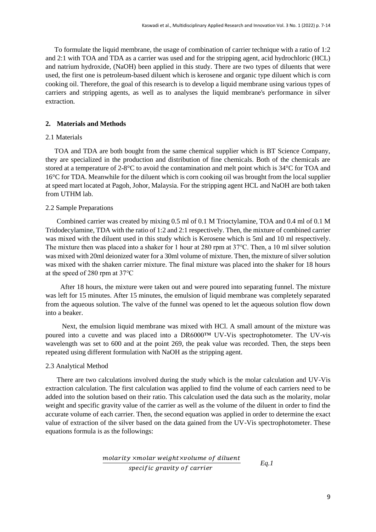To formulate the liquid membrane, the usage of combination of carrier technique with a ratio of 1:2 and 2:1 with TOA and TDA as a carrier was used and for the stripping agent, acid hydrochloric (HCL) and natrium hydroxide, (NaOH) been applied in this study. There are two types of diluents that were used, the first one is petroleum-based diluent which is kerosene and organic type diluent which is corn cooking oil. Therefore, the goal of this research is to develop a liquid membrane using various types of carriers and stripping agents, as well as to analyses the liquid membrane's performance in silver extraction.

## **2. Materials and Methods**

#### 2.1 Materials

TOA and TDA are both bought from the same chemical supplier which is BT Science Company, they are specialized in the production and distribution of fine chemicals. Both of the chemicals are stored at a temperature of 2-8°C to avoid the contamination and melt point which is 34°C for TOA and 16°C for TDA. Meanwhile for the diluent which is corn cooking oil was brought from the local supplier at speed mart located at Pagoh, Johor, Malaysia. For the stripping agent HCL and NaOH are both taken from UTHM lab.

#### 2.2 Sample Preparations

Combined carrier was created by mixing 0.5 ml of 0.1 M Trioctylamine, TOA and 0.4 ml of 0.1 M Tridodecylamine, TDA with the ratio of 1:2 and 2:1 respectively. Then, the mixture of combined carrier was mixed with the diluent used in this study which is Kerosene which is 5ml and 10 ml respectively. The mixture then was placed into a shaker for 1 hour at 280 rpm at 37℃. Then, a 10 ml silver solution was mixed with 20ml deionized water for a 30ml volume of mixture. Then, the mixture of silver solution was mixed with the shaken carrier mixture. The final mixture was placed into the shaker for 18 hours at the speed of 280 rpm at 37℃

 After 18 hours, the mixture were taken out and were poured into separating funnel. The mixture was left for 15 minutes. After 15 minutes, the emulsion of liquid membrane was completely separated from the aqueous solution. The valve of the funnel was opened to let the aqueous solution flow down into a beaker.

 Next, the emulsion liquid membrane was mixed with HCl. A small amount of the mixture was poured into a cuvette and was placed into a DR6000™ UV-Vis spectrophotometer. The UV-vis wavelength was set to 600 and at the point 269, the peak value was recorded. Then, the steps been repeated using different formulation with NaOH as the stripping agent.

#### 2.3 Analytical Method

There are two calculations involved during the study which is the molar calculation and UV-Vis extraction calculation. The first calculation was applied to find the volume of each carriers need to be added into the solution based on their ratio. This calculation used the data such as the molarity, molar weight and specific gravity value of the carrier as well as the volume of the diluent in order to find the accurate volume of each carrier. Then, the second equation was applied in order to determine the exact value of extraction of the silver based on the data gained from the UV-Vis spectrophotometer. These equations formula is as the followings:

$$
\frac{molarity \times molar weight \times volume \ of \ diluent}{specific \ gravity \ of \ carrier}
$$
 Eq.1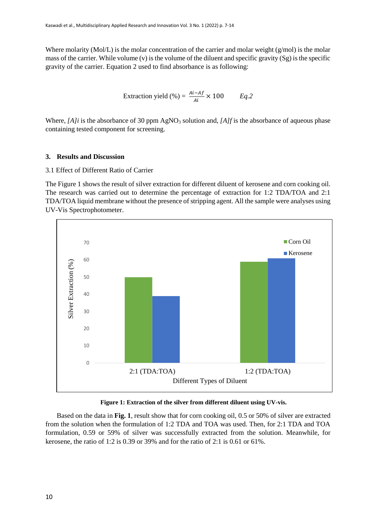Where molarity (Mol/L) is the molar concentration of the carrier and molar weight ( $g/mol$ ) is the molar mass of the carrier. While volume (v) is the volume of the diluent and specific gravity (Sg) is the specific gravity of the carrier. Equation 2 used to find absorbance is as following:

$$
Extraction yield (%) = \frac{Ai - Af}{Ai} \times 100 \qquad Eq.2
$$

Where, *[A]i* is the absorbance of 30 ppm AgNO<sub>3</sub> solution and, *[A]f* is the absorbance of aqueous phase containing tested component for screening.

# **3. Results and Discussion**

# 3.1 Effect of Different Ratio of Carrier

The Figure 1 shows the result of silver extraction for different diluent of kerosene and corn cooking oil. The research was carried out to determine the percentage of extraction for 1:2 TDA/TOA and 2:1 TDA/TOA liquid membrane without the presence of stripping agent. All the sample were analyses using UV-Vis Spectrophotometer.



#### **Figure 1: Extraction of the silver from different diluent using UV-vis.**

Based on the data in **Fig. 1**, result show that for corn cooking oil, 0.5 or 50% of silver are extracted from the solution when the formulation of 1:2 TDA and TOA was used. Then, for 2:1 TDA and TOA formulation, 0.59 or 59% of silver was successfully extracted from the solution. Meanwhile, for kerosene, the ratio of 1:2 is 0.39 or 39% and for the ratio of 2:1 is 0.61 or 61%.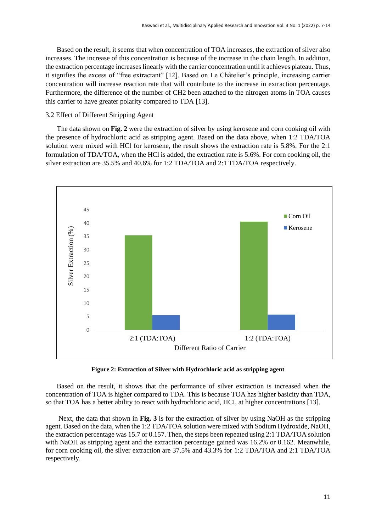Based on the result, it seems that when concentration of TOA increases, the extraction of silver also increases. The increase of this concentration is because of the increase in the chain length. In addition, the extraction percentage increases linearly with the carrier concentration until it achieves plateau. Thus, it signifies the excess of "free extractant" [12]. Based on Le Châtelier's principle, increasing carrier concentration will increase reaction rate that will contribute to the increase in extraction percentage. Furthermore, the difference of the number of CH2 been attached to the nitrogen atoms in TOA causes this carrier to have greater polarity compared to TDA [13].

#### 3.2 Effect of Different Stripping Agent

The data shown on **Fig. 2** were the extraction of silver by using kerosene and corn cooking oil with the presence of hydrochloric acid as stripping agent. Based on the data above, when 1:2 TDA/TOA solution were mixed with HCl for kerosene, the result shows the extraction rate is 5.8%. For the 2:1 formulation of TDA/TOA, when the HCl is added, the extraction rate is 5.6%. For corn cooking oil, the silver extraction are 35.5% and 40.6% for 1:2 TDA/TOA and 2:1 TDA/TOA respectively.



**Figure 2: Extraction of Silver with Hydrochloric acid as stripping agent**

Based on the result, it shows that the performance of silver extraction is increased when the concentration of TOA is higher compared to TDA. This is because TOA has higher basicity than TDA, so that TOA has a better ability to react with hydrochloric acid, HCI, at higher concentrations [13].

Next, the data that shown in **Fig. 3** is for the extraction of silver by using NaOH as the stripping agent. Based on the data, when the 1:2 TDA/TOA solution were mixed with Sodium Hydroxide, NaOH, the extraction percentage was 15.7 or 0.157. Then, the steps been repeated using 2:1 TDA/TOA solution with NaOH as stripping agent and the extraction percentage gained was 16.2% or 0.162. Meanwhile, for corn cooking oil, the silver extraction are 37.5% and 43.3% for 1:2 TDA/TOA and 2:1 TDA/TOA respectively.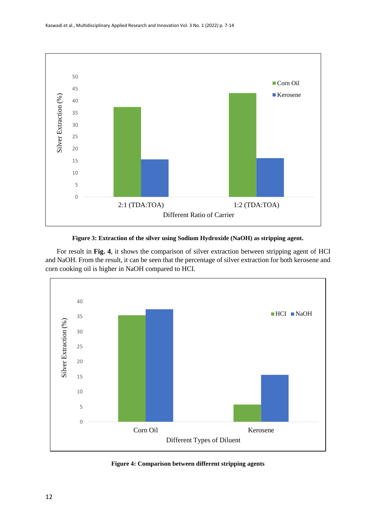

**Figure 3: Extraction of the silver using Sodium Hydroxide (NaOH) as stripping agent.**

For result in **Fig. 4**, it shows the comparison of silver extraction between stripping agent of HCI and NaOH. From the result, it can be seen that the percentage of silver extraction for both kerosene and corn cooking oil is higher in NaOH compared to HCI.



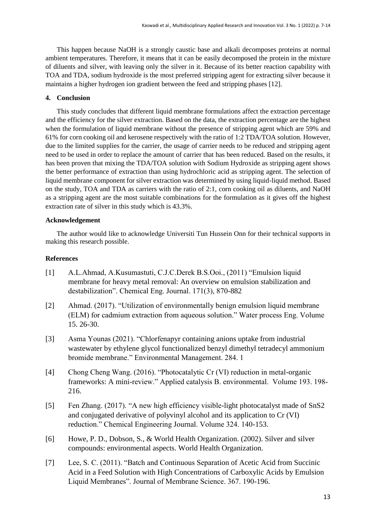This happen because NaOH is a strongly caustic base and alkali decomposes proteins at normal ambient temperatures. Therefore, it means that it can be easily decomposed the protein in the mixture of diluents and silver, with leaving only the silver in it. Because of its better reaction capability with TOA and TDA, sodium hydroxide is the most preferred stripping agent for extracting silver because it maintains a higher hydrogen ion gradient between the feed and stripping phases [12].

# **4. Conclusion**

This study concludes that different liquid membrane formulations affect the extraction percentage and the efficiency for the silver extraction. Based on the data, the extraction percentage are the highest when the formulation of liquid membrane without the presence of stripping agent which are 59% and 61% for corn cooking oil and kerosene respectively with the ratio of 1:2 TDA/TOA solution. However, due to the limited supplies for the carrier, the usage of carrier needs to be reduced and stripping agent need to be used in order to replace the amount of carrier that has been reduced. Based on the results, it has been proven that mixing the TDA/TOA solution with Sodium Hydroxide as stripping agent shows the better performance of extraction than using hydrochloric acid as stripping agent. The selection of liquid membrane component for silver extraction was determined by using liquid-liquid method. Based on the study, TOA and TDA as carriers with the ratio of 2:1, corn cooking oil as diluents, and NaOH as a stripping agent are the most suitable combinations for the formulation as it gives off the highest extraction rate of silver in this study which is 43.3%.

# **Acknowledgement**

The author would like to acknowledge Universiti Tun Hussein Onn for their technical supports in making this research possible.

## **References**

- [1] A.L.Ahmad, A.Kusumastuti, C.J.C.Derek B.S.Ooi., (2011) "Emulsion liquid membrane for heavy metal removal: An overview on emulsion stabilization and destabilization". Chemical Eng. Journal. 171(3), 870-882
- [2] Ahmad. (2017). "Utilization of environmentally benign emulsion liquid membrane (ELM) for cadmium extraction from aqueous solution." Water process Eng. Volume 15. 26-30.
- [3] Asma Younas (2021). "Chlorfenapyr containing anions uptake from industrial wastewater by ethylene glycol functionalized benzyl dimethyl tetradecyl ammonium bromide membrane." Environmental Management. 284. 1
- [4] Chong Cheng Wang. (2016). "Photocatalytic Cr (VI) reduction in metal-organic frameworks: A mini-review." Applied catalysis B. environmental. Volume 193. 198- 216.
- [5] Fen Zhang. (2017). "A new high efficiency visible-light photocatalyst made of SnS2 and conjugated derivative of polyvinyl alcohol and its application to Cr (VI) reduction." Chemical Engineering Journal. Volume 324. 140-153.
- [6] Howe, P. D., Dobson, S., & World Health Organization. (2002). Silver and silver compounds: environmental aspects. World Health Organization.
- [7] Lee, S. C. (2011). "Batch and Continuous Separation of Acetic Acid from Succinic Acid in a Feed Solution with High Concentrations of Carboxylic Acids by Emulsion Liquid Membranes". Journal of Membrane Science. 367. 190-196.